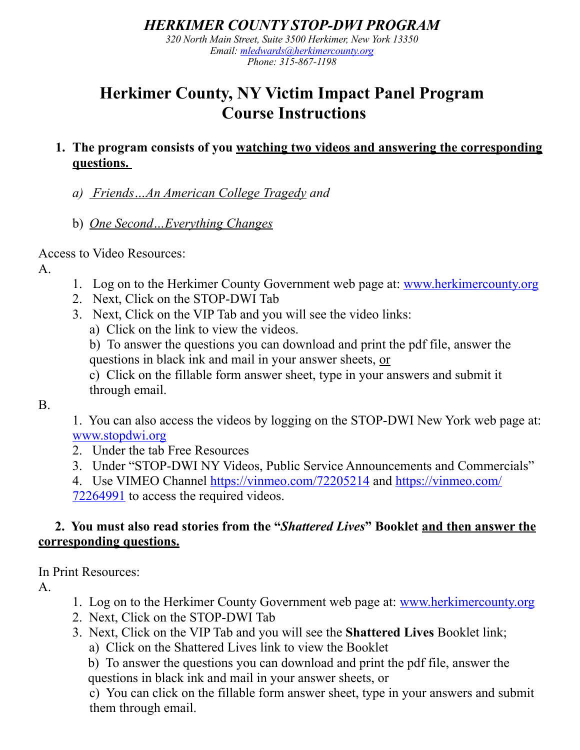## *HERKIMER COUNTY STOP-DWI PROGRAM*

*320 North Main Street, Suite 3500 Herkimer, New York 13350 Email: [mledwards@herkimercounty.org](mailto:mledwards@herkimercounty.org) Phone: 315-867-1198* 

## **Herkimer County, NY Victim Impact Panel Program Course Instructions**

- **1. The program consists of you watching two videos and answering the corresponding questions.** 
	- *a) Friends…An American College Tragedy and*
	- b) *One Second…Everything Changes*

Access to Video Resources:

A.

- 1. Log on to the Herkimer County Government web page at: [www.herkimercounty.org](http://www.herkimercounty.org)
- 2. Next, Click on the STOP-DWI Tab
- 3. Next, Click on the VIP Tab and you will see the video links:
	- a) Click on the link to view the videos.

b) To answer the questions you can download and print the pdf file, answer the questions in black ink and mail in your answer sheets, or

c) Click on the fillable form answer sheet, type in your answers and submit it through email.

B.

1. You can also access the videos by logging on the STOP-DWI New York web page at: [www.stopdwi.org](http://www.stopdwi.org)

- 2. Under the tab Free Resources
- 3. Under "STOP-DWI NY Videos, Public Service Announcements and Commercials"

4. Use VIMEO Channel<https://vinmeo.com/72205214> and [https://vinmeo.com/](https://vinmeo.com/72264991) [72264991](https://vinmeo.com/72264991) to access the required videos.

## **2. You must also read stories from the "***Shattered Lives***" Booklet and then answer the corresponding questions.**

In Print Resources:

A.

- 1. Log on to the Herkimer County Government web page at: [www.herkimercounty.org](http://www.herkimercounty.org)
- 2. Next, Click on the STOP-DWI Tab
- 3. Next, Click on the VIP Tab and you will see the **Shattered Lives** Booklet link;
	- a) Click on the Shattered Lives link to view the Booklet

b) To answer the questions you can download and print the pdf file, answer the questions in black ink and mail in your answer sheets, or

c) You can click on the fillable form answer sheet, type in your answers and submit them through email.